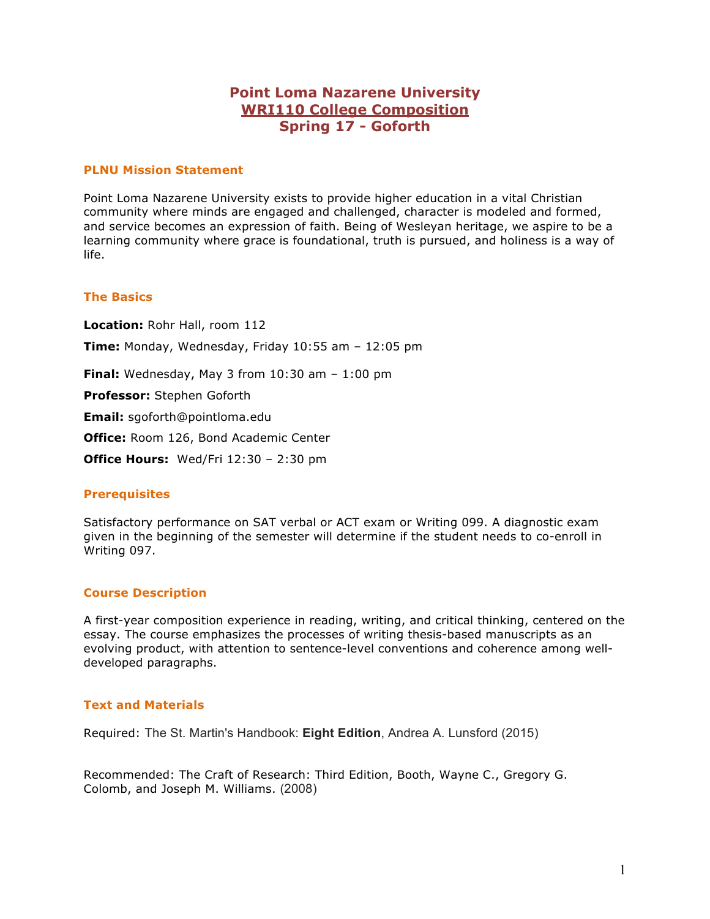# **Point Loma Nazarene University WRI110 College Composition Spring 17 - Goforth**

### **PLNU Mission Statement**

Point Loma Nazarene University exists to provide higher education in a vital Christian community where minds are engaged and challenged, character is modeled and formed, and service becomes an expression of faith. Being of Wesleyan heritage, we aspire to be a learning community where grace is foundational, truth is pursued, and holiness is a way of life.

### **The Basics**

**Location:** Rohr Hall, room 112 **Time:** Monday, Wednesday, Friday 10:55 am – 12:05 pm **Final:** Wednesday, May 3 from 10:30 am – 1:00 pm **Professor:** Stephen Goforth **Email:** sgoforth@pointloma.edu **Office:** Room 126, Bond Academic Center **Office Hours:** Wed/Fri 12:30 – 2:30 pm

## **Prerequisites**

Satisfactory performance on SAT verbal or ACT exam or Writing 099. A diagnostic exam given in the beginning of the semester will determine if the student needs to co-enroll in Writing 097.

# **Course Description**

A first-year composition experience in reading, writing, and critical thinking, centered on the essay. The course emphasizes the processes of writing thesis-based manuscripts as an evolving product, with attention to sentence-level conventions and coherence among welldeveloped paragraphs.

#### **Text and Materials**

Required: The St. Martin's Handbook: **Eight Edition**, Andrea A. Lunsford (2015)

Recommended: The Craft of Research: Third Edition, Booth, Wayne C., Gregory G. Colomb, and Joseph M. Williams. (2008)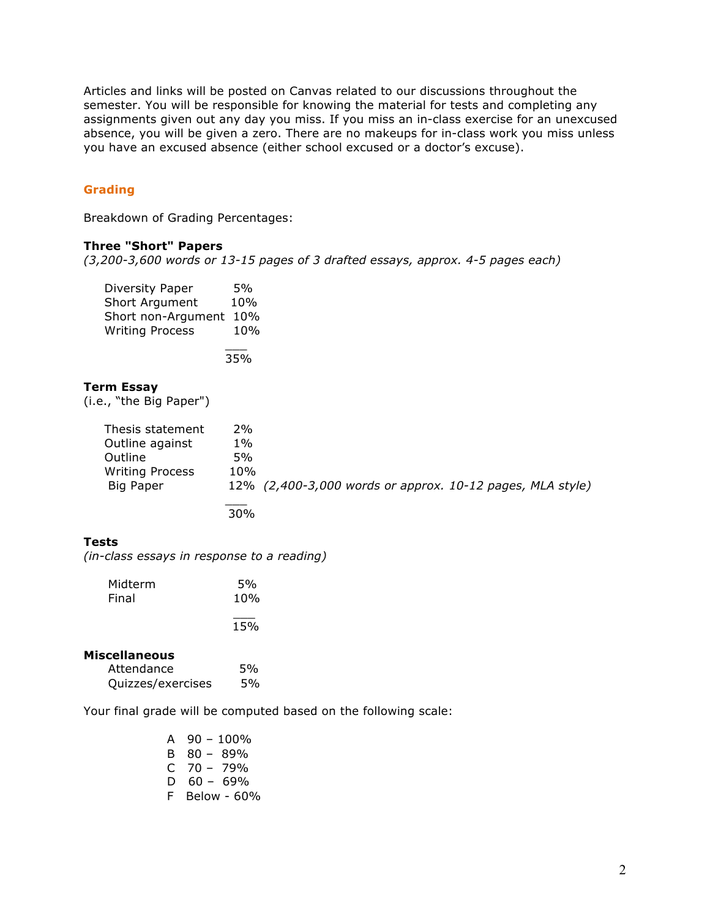Articles and links will be posted on Canvas related to our discussions throughout the semester. You will be responsible for knowing the material for tests and completing any assignments given out any day you miss. If you miss an in-class exercise for an unexcused absence, you will be given a zero. There are no makeups for in-class work you miss unless you have an excused absence (either school excused or a doctor's excuse).

# **Grading**

Breakdown of Grading Percentages:

#### **Three "Short" Papers**

*(3,200-3,600 words or 13-15 pages of 3 drafted essays, approx. 4-5 pages each)*

| Diversity Paper        | 5%  |
|------------------------|-----|
| <b>Short Argument</b>  | 10% |
| Short non-Argument     | 10% |
| <b>Writing Process</b> | 10% |
|                        |     |

35%

#### **Term Essay**

(i.e., "the Big Paper")

| Thesis statement<br>Outline against<br>Outline<br><b>Writing Process</b><br>Big Paper | 2%<br>$1\%$<br>5%<br>10% | 12% (2,400-3,000 words or approx. 10-12 pages, MLA style) |
|---------------------------------------------------------------------------------------|--------------------------|-----------------------------------------------------------|
|                                                                                       | 30 <sub>%</sub>          |                                                           |

# **Tests**

*(in-class essays in response to a reading)*

| Midterm | 5%  |
|---------|-----|
| Final   | 10% |
|         | 15% |

## **Miscellaneous**

| Attendance        | 5% |
|-------------------|----|
| Quizzes/exercises | 5% |

Your final grade will be computed based on the following scale:

| A  | $90 - 100\%$ |
|----|--------------|
| в  | 80 - 89%     |
| C  | $70 - 79%$   |
| D  | $60 - 69\%$  |
| F. | Below - 60%  |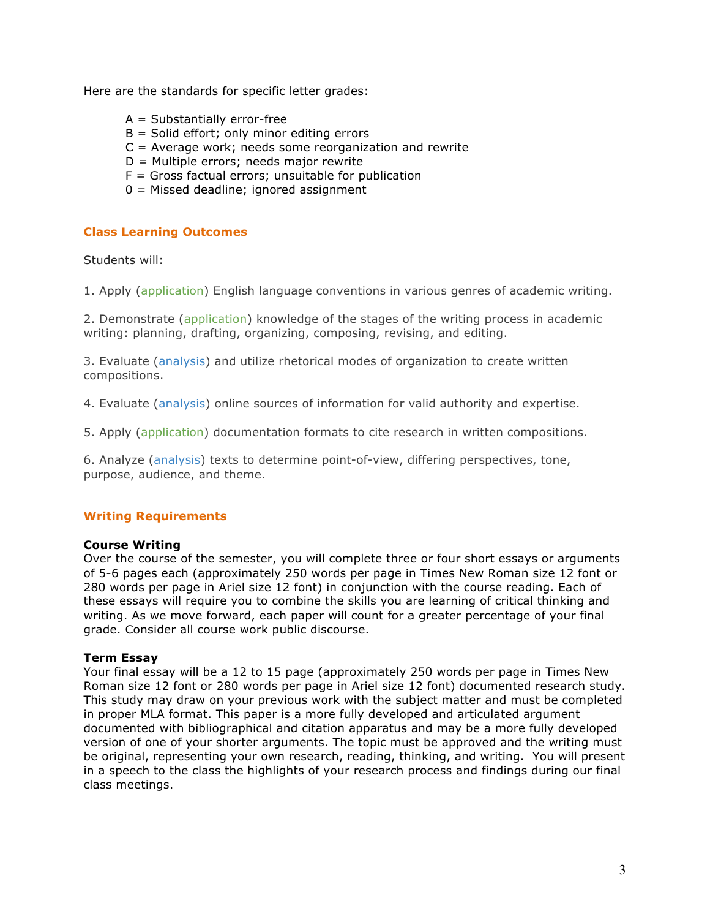Here are the standards for specific letter grades:

- $A = Substantially error-free$
- $B =$  Solid effort; only minor editing errors
- $C =$  Average work; needs some reorganization and rewrite
- D = Multiple errors; needs major rewrite
- $F =$  Gross factual errors; unsuitable for publication
- 0 = Missed deadline; ignored assignment

#### **Class Learning Outcomes**

Students will:

1. Apply (application) English language conventions in various genres of academic writing.

2. Demonstrate (application) knowledge of the stages of the writing process in academic writing: planning, drafting, organizing, composing, revising, and editing.

3. Evaluate (analysis) and utilize rhetorical modes of organization to create written compositions.

4. Evaluate (analysis) online sources of information for valid authority and expertise.

5. Apply (application) documentation formats to cite research in written compositions.

6. Analyze (analysis) texts to determine point-of-view, differing perspectives, tone, purpose, audience, and theme.

## **Writing Requirements**

#### **Course Writing**

Over the course of the semester, you will complete three or four short essays or arguments of 5-6 pages each (approximately 250 words per page in Times New Roman size 12 font or 280 words per page in Ariel size 12 font) in conjunction with the course reading. Each of these essays will require you to combine the skills you are learning of critical thinking and writing. As we move forward, each paper will count for a greater percentage of your final grade. Consider all course work public discourse.

#### **Term Essay**

Your final essay will be a 12 to 15 page (approximately 250 words per page in Times New Roman size 12 font or 280 words per page in Ariel size 12 font) documented research study. This study may draw on your previous work with the subject matter and must be completed in proper MLA format. This paper is a more fully developed and articulated argument documented with bibliographical and citation apparatus and may be a more fully developed version of one of your shorter arguments. The topic must be approved and the writing must be original, representing your own research, reading, thinking, and writing. You will present in a speech to the class the highlights of your research process and findings during our final class meetings.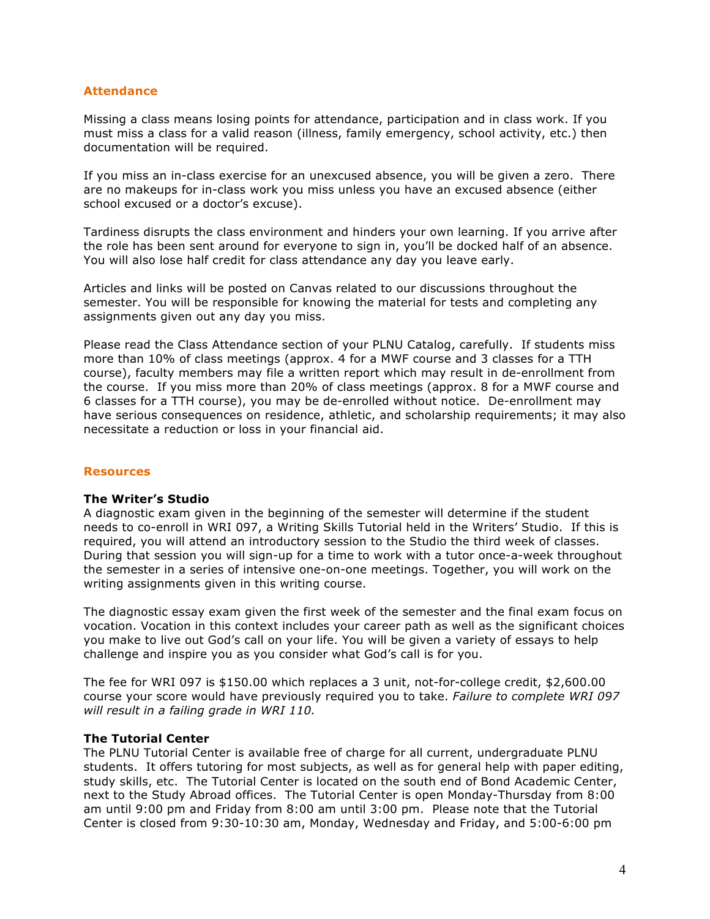### **Attendance**

Missing a class means losing points for attendance, participation and in class work. If you must miss a class for a valid reason (illness, family emergency, school activity, etc.) then documentation will be required.

If you miss an in-class exercise for an unexcused absence, you will be given a zero. There are no makeups for in-class work you miss unless you have an excused absence (either school excused or a doctor's excuse).

Tardiness disrupts the class environment and hinders your own learning. If you arrive after the role has been sent around for everyone to sign in, you'll be docked half of an absence. You will also lose half credit for class attendance any day you leave early.

Articles and links will be posted on Canvas related to our discussions throughout the semester. You will be responsible for knowing the material for tests and completing any assignments given out any day you miss.

Please read the Class Attendance section of your PLNU Catalog, carefully. If students miss more than 10% of class meetings (approx. 4 for a MWF course and 3 classes for a TTH course), faculty members may file a written report which may result in de-enrollment from the course. If you miss more than 20% of class meetings (approx. 8 for a MWF course and 6 classes for a TTH course), you may be de-enrolled without notice. De-enrollment may have serious consequences on residence, athletic, and scholarship requirements; it may also necessitate a reduction or loss in your financial aid.

#### **Resources**

## **The Writer's Studio**

A diagnostic exam given in the beginning of the semester will determine if the student needs to co-enroll in WRI 097, a Writing Skills Tutorial held in the Writers' Studio. If this is required, you will attend an introductory session to the Studio the third week of classes. During that session you will sign-up for a time to work with a tutor once-a-week throughout the semester in a series of intensive one-on-one meetings. Together, you will work on the writing assignments given in this writing course.

The diagnostic essay exam given the first week of the semester and the final exam focus on vocation. Vocation in this context includes your career path as well as the significant choices you make to live out God's call on your life. You will be given a variety of essays to help challenge and inspire you as you consider what God's call is for you.

The fee for WRI 097 is \$150.00 which replaces a 3 unit, not-for-college credit, \$2,600.00 course your score would have previously required you to take. *Failure to complete WRI 097 will result in a failing grade in WRI 110.*

#### **The Tutorial Center**

The PLNU Tutorial Center is available free of charge for all current, undergraduate PLNU students. It offers tutoring for most subjects, as well as for general help with paper editing, study skills, etc. The Tutorial Center is located on the south end of Bond Academic Center, next to the Study Abroad offices. The Tutorial Center is open Monday-Thursday from 8:00 am until 9:00 pm and Friday from 8:00 am until 3:00 pm. Please note that the Tutorial Center is closed from 9:30-10:30 am, Monday, Wednesday and Friday, and 5:00-6:00 pm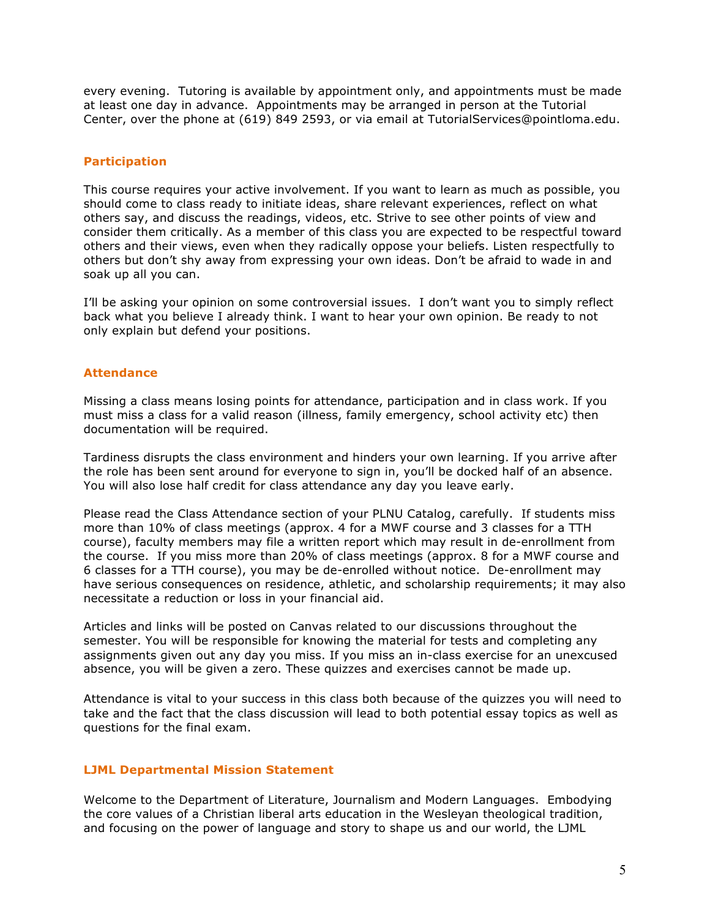every evening. Tutoring is available by appointment only, and appointments must be made at least one day in advance. Appointments may be arranged in person at the Tutorial Center, over the phone at (619) 849 2593, or via email at TutorialServices@pointloma.edu.

### **Participation**

This course requires your active involvement. If you want to learn as much as possible, you should come to class ready to initiate ideas, share relevant experiences, reflect on what others say, and discuss the readings, videos, etc. Strive to see other points of view and consider them critically. As a member of this class you are expected to be respectful toward others and their views, even when they radically oppose your beliefs. Listen respectfully to others but don't shy away from expressing your own ideas. Don't be afraid to wade in and soak up all you can.

I'll be asking your opinion on some controversial issues. I don't want you to simply reflect back what you believe I already think. I want to hear your own opinion. Be ready to not only explain but defend your positions.

### **Attendance**

Missing a class means losing points for attendance, participation and in class work. If you must miss a class for a valid reason (illness, family emergency, school activity etc) then documentation will be required.

Tardiness disrupts the class environment and hinders your own learning. If you arrive after the role has been sent around for everyone to sign in, you'll be docked half of an absence. You will also lose half credit for class attendance any day you leave early.

Please read the Class Attendance section of your PLNU Catalog, carefully. If students miss more than 10% of class meetings (approx. 4 for a MWF course and 3 classes for a TTH course), faculty members may file a written report which may result in de-enrollment from the course. If you miss more than 20% of class meetings (approx. 8 for a MWF course and 6 classes for a TTH course), you may be de-enrolled without notice. De-enrollment may have serious consequences on residence, athletic, and scholarship requirements; it may also necessitate a reduction or loss in your financial aid.

Articles and links will be posted on Canvas related to our discussions throughout the semester. You will be responsible for knowing the material for tests and completing any assignments given out any day you miss. If you miss an in-class exercise for an unexcused absence, you will be given a zero. These quizzes and exercises cannot be made up.

Attendance is vital to your success in this class both because of the quizzes you will need to take and the fact that the class discussion will lead to both potential essay topics as well as questions for the final exam.

## **LJML Departmental Mission Statement**

Welcome to the Department of Literature, Journalism and Modern Languages. Embodying the core values of a Christian liberal arts education in the Wesleyan theological tradition, and focusing on the power of language and story to shape us and our world, the LJML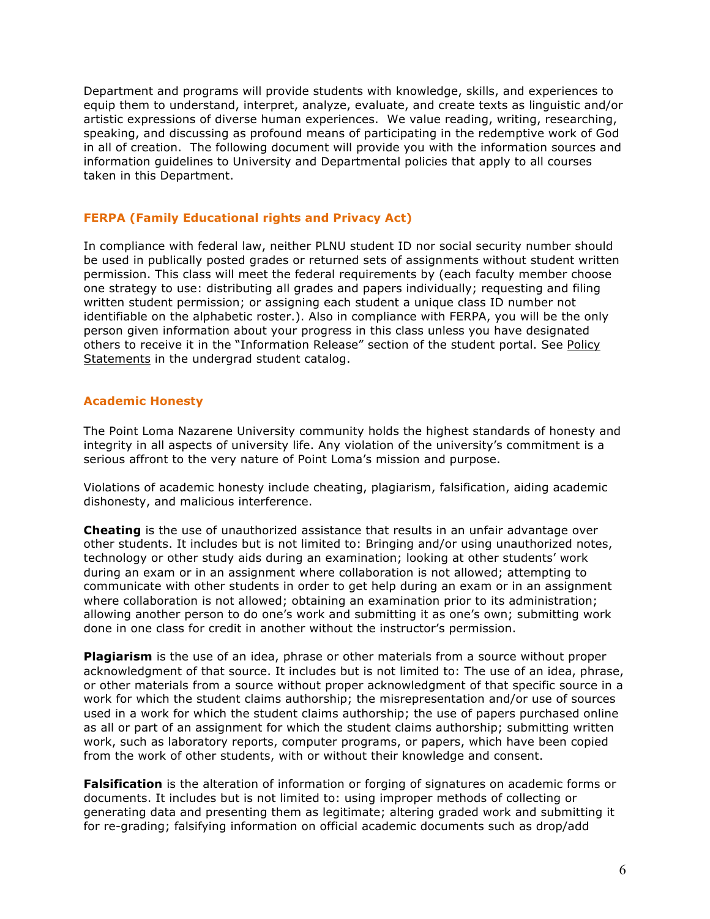Department and programs will provide students with knowledge, skills, and experiences to equip them to understand, interpret, analyze, evaluate, and create texts as linguistic and/or artistic expressions of diverse human experiences. We value reading, writing, researching, speaking, and discussing as profound means of participating in the redemptive work of God in all of creation. The following document will provide you with the information sources and information guidelines to University and Departmental policies that apply to all courses taken in this Department.

# **FERPA (Family Educational rights and Privacy Act)**

In compliance with federal law, neither PLNU student ID nor social security number should be used in publically posted grades or returned sets of assignments without student written permission. This class will meet the federal requirements by (each faculty member choose one strategy to use: distributing all grades and papers individually; requesting and filing written student permission; or assigning each student a unique class ID number not identifiable on the alphabetic roster.). Also in compliance with FERPA, you will be the only person given information about your progress in this class unless you have designated others to receive it in the "Information Release" section of the student portal. See Policy Statements in the undergrad student catalog.

# **Academic Honesty**

The Point Loma Nazarene University community holds the highest standards of honesty and integrity in all aspects of university life. Any violation of the university's commitment is a serious affront to the very nature of Point Loma's mission and purpose.

Violations of academic honesty include cheating, plagiarism, falsification, aiding academic dishonesty, and malicious interference.

**Cheating** is the use of unauthorized assistance that results in an unfair advantage over other students. It includes but is not limited to: Bringing and/or using unauthorized notes, technology or other study aids during an examination; looking at other students' work during an exam or in an assignment where collaboration is not allowed; attempting to communicate with other students in order to get help during an exam or in an assignment where collaboration is not allowed; obtaining an examination prior to its administration; allowing another person to do one's work and submitting it as one's own; submitting work done in one class for credit in another without the instructor's permission.

**Plagiarism** is the use of an idea, phrase or other materials from a source without proper acknowledgment of that source. It includes but is not limited to: The use of an idea, phrase, or other materials from a source without proper acknowledgment of that specific source in a work for which the student claims authorship; the misrepresentation and/or use of sources used in a work for which the student claims authorship; the use of papers purchased online as all or part of an assignment for which the student claims authorship; submitting written work, such as laboratory reports, computer programs, or papers, which have been copied from the work of other students, with or without their knowledge and consent.

**Falsification** is the alteration of information or forging of signatures on academic forms or documents. It includes but is not limited to: using improper methods of collecting or generating data and presenting them as legitimate; altering graded work and submitting it for re-grading; falsifying information on official academic documents such as drop/add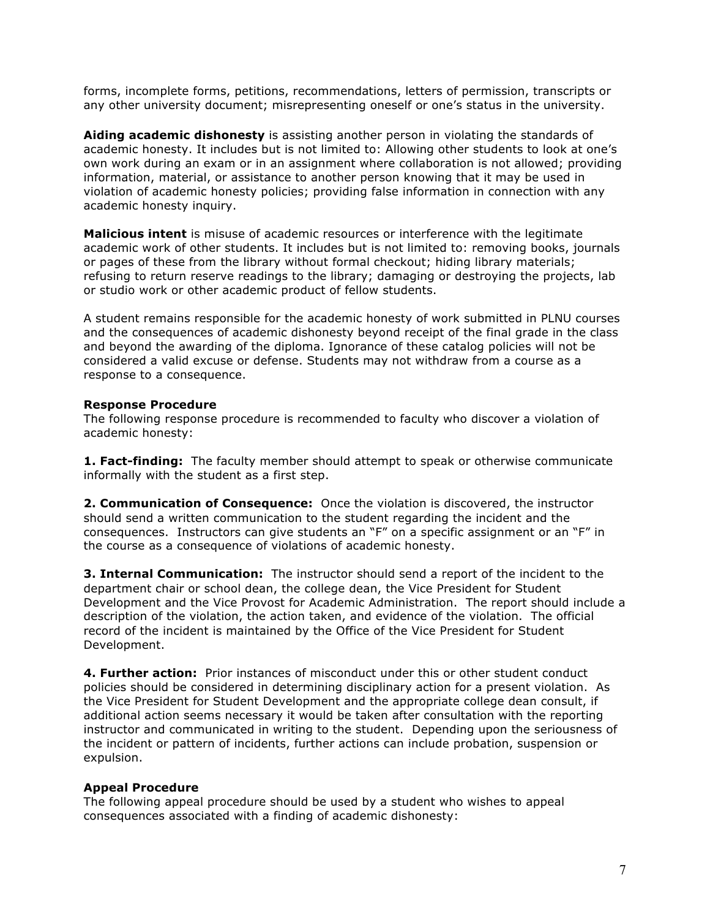forms, incomplete forms, petitions, recommendations, letters of permission, transcripts or any other university document; misrepresenting oneself or one's status in the university.

**Aiding academic dishonesty** is assisting another person in violating the standards of academic honesty. It includes but is not limited to: Allowing other students to look at one's own work during an exam or in an assignment where collaboration is not allowed; providing information, material, or assistance to another person knowing that it may be used in violation of academic honesty policies; providing false information in connection with any academic honesty inquiry.

**Malicious intent** is misuse of academic resources or interference with the legitimate academic work of other students. It includes but is not limited to: removing books, journals or pages of these from the library without formal checkout; hiding library materials; refusing to return reserve readings to the library; damaging or destroying the projects, lab or studio work or other academic product of fellow students.

A student remains responsible for the academic honesty of work submitted in PLNU courses and the consequences of academic dishonesty beyond receipt of the final grade in the class and beyond the awarding of the diploma. Ignorance of these catalog policies will not be considered a valid excuse or defense. Students may not withdraw from a course as a response to a consequence.

### **Response Procedure**

The following response procedure is recommended to faculty who discover a violation of academic honesty:

**1. Fact-finding:** The faculty member should attempt to speak or otherwise communicate informally with the student as a first step.

**2. Communication of Consequence:** Once the violation is discovered, the instructor should send a written communication to the student regarding the incident and the consequences. Instructors can give students an "F" on a specific assignment or an "F" in the course as a consequence of violations of academic honesty.

**3. Internal Communication:** The instructor should send a report of the incident to the department chair or school dean, the college dean, the Vice President for Student Development and the Vice Provost for Academic Administration. The report should include a description of the violation, the action taken, and evidence of the violation. The official record of the incident is maintained by the Office of the Vice President for Student Development.

**4. Further action:** Prior instances of misconduct under this or other student conduct policies should be considered in determining disciplinary action for a present violation. As the Vice President for Student Development and the appropriate college dean consult, if additional action seems necessary it would be taken after consultation with the reporting instructor and communicated in writing to the student. Depending upon the seriousness of the incident or pattern of incidents, further actions can include probation, suspension or expulsion.

## **Appeal Procedure**

The following appeal procedure should be used by a student who wishes to appeal consequences associated with a finding of academic dishonesty: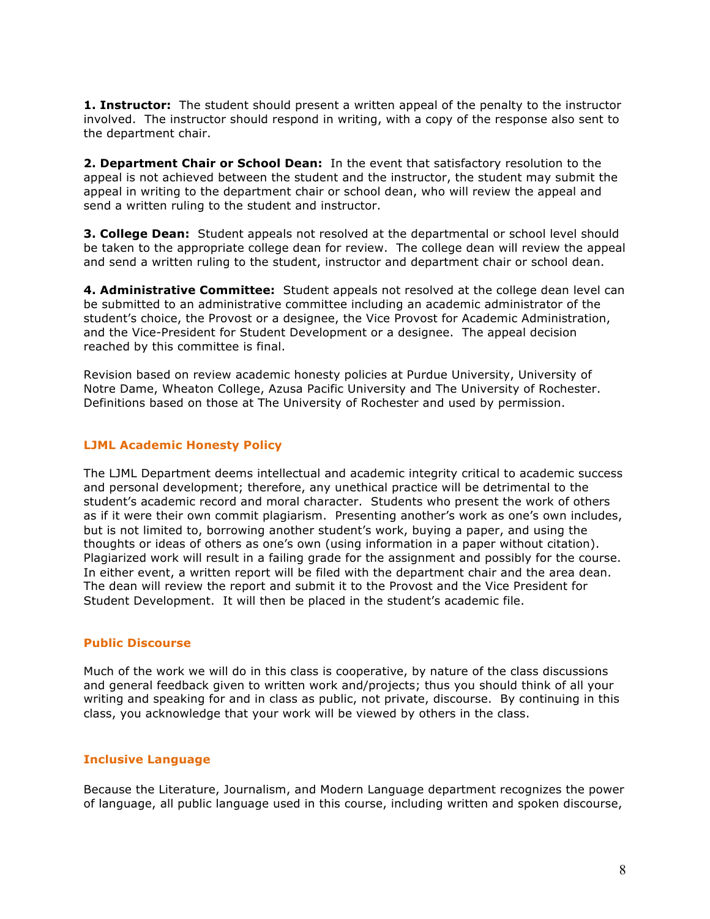**1. Instructor:** The student should present a written appeal of the penalty to the instructor involved. The instructor should respond in writing, with a copy of the response also sent to the department chair.

**2. Department Chair or School Dean:** In the event that satisfactory resolution to the appeal is not achieved between the student and the instructor, the student may submit the appeal in writing to the department chair or school dean, who will review the appeal and send a written ruling to the student and instructor.

**3. College Dean:** Student appeals not resolved at the departmental or school level should be taken to the appropriate college dean for review. The college dean will review the appeal and send a written ruling to the student, instructor and department chair or school dean.

**4. Administrative Committee:** Student appeals not resolved at the college dean level can be submitted to an administrative committee including an academic administrator of the student's choice, the Provost or a designee, the Vice Provost for Academic Administration, and the Vice-President for Student Development or a designee. The appeal decision reached by this committee is final.

Revision based on review academic honesty policies at Purdue University, University of Notre Dame, Wheaton College, Azusa Pacific University and The University of Rochester. Definitions based on those at The University of Rochester and used by permission.

## **LJML Academic Honesty Policy**

The LJML Department deems intellectual and academic integrity critical to academic success and personal development; therefore, any unethical practice will be detrimental to the student's academic record and moral character. Students who present the work of others as if it were their own commit plagiarism. Presenting another's work as one's own includes, but is not limited to, borrowing another student's work, buying a paper, and using the thoughts or ideas of others as one's own (using information in a paper without citation). Plagiarized work will result in a failing grade for the assignment and possibly for the course. In either event, a written report will be filed with the department chair and the area dean. The dean will review the report and submit it to the Provost and the Vice President for Student Development. It will then be placed in the student's academic file.

#### **Public Discourse**

Much of the work we will do in this class is cooperative, by nature of the class discussions and general feedback given to written work and/projects; thus you should think of all your writing and speaking for and in class as public, not private, discourse. By continuing in this class, you acknowledge that your work will be viewed by others in the class.

## **Inclusive Language**

Because the Literature, Journalism, and Modern Language department recognizes the power of language, all public language used in this course, including written and spoken discourse,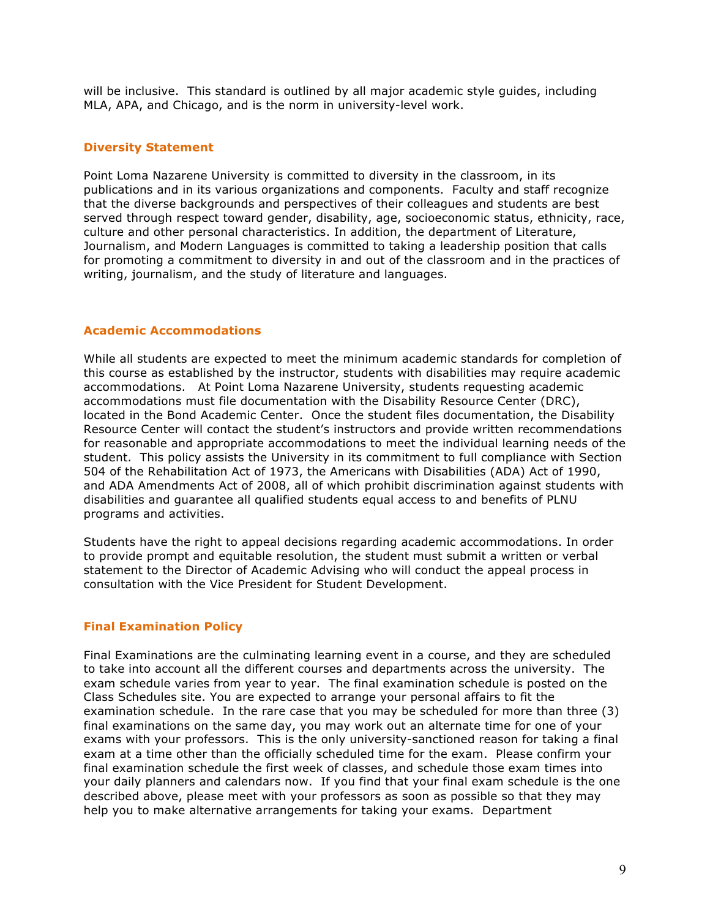will be inclusive. This standard is outlined by all major academic style guides, including MLA, APA, and Chicago, and is the norm in university-level work.

### **Diversity Statement**

Point Loma Nazarene University is committed to diversity in the classroom, in its publications and in its various organizations and components. Faculty and staff recognize that the diverse backgrounds and perspectives of their colleagues and students are best served through respect toward gender, disability, age, socioeconomic status, ethnicity, race, culture and other personal characteristics. In addition, the department of Literature, Journalism, and Modern Languages is committed to taking a leadership position that calls for promoting a commitment to diversity in and out of the classroom and in the practices of writing, journalism, and the study of literature and languages.

#### **Academic Accommodations**

While all students are expected to meet the minimum academic standards for completion of this course as established by the instructor, students with disabilities may require academic accommodations. At Point Loma Nazarene University, students requesting academic accommodations must file documentation with the Disability Resource Center (DRC), located in the Bond Academic Center. Once the student files documentation, the Disability Resource Center will contact the student's instructors and provide written recommendations for reasonable and appropriate accommodations to meet the individual learning needs of the student. This policy assists the University in its commitment to full compliance with Section 504 of the Rehabilitation Act of 1973, the Americans with Disabilities (ADA) Act of 1990, and ADA Amendments Act of 2008, all of which prohibit discrimination against students with disabilities and guarantee all qualified students equal access to and benefits of PLNU programs and activities.

Students have the right to appeal decisions regarding academic accommodations. In order to provide prompt and equitable resolution, the student must submit a written or verbal statement to the Director of Academic Advising who will conduct the appeal process in consultation with the Vice President for Student Development.

#### **Final Examination Policy**

Final Examinations are the culminating learning event in a course, and they are scheduled to take into account all the different courses and departments across the university. The exam schedule varies from year to year. The final examination schedule is posted on the Class Schedules site. You are expected to arrange your personal affairs to fit the examination schedule. In the rare case that you may be scheduled for more than three (3) final examinations on the same day, you may work out an alternate time for one of your exams with your professors. This is the only university-sanctioned reason for taking a final exam at a time other than the officially scheduled time for the exam. Please confirm your final examination schedule the first week of classes, and schedule those exam times into your daily planners and calendars now. If you find that your final exam schedule is the one described above, please meet with your professors as soon as possible so that they may help you to make alternative arrangements for taking your exams. Department